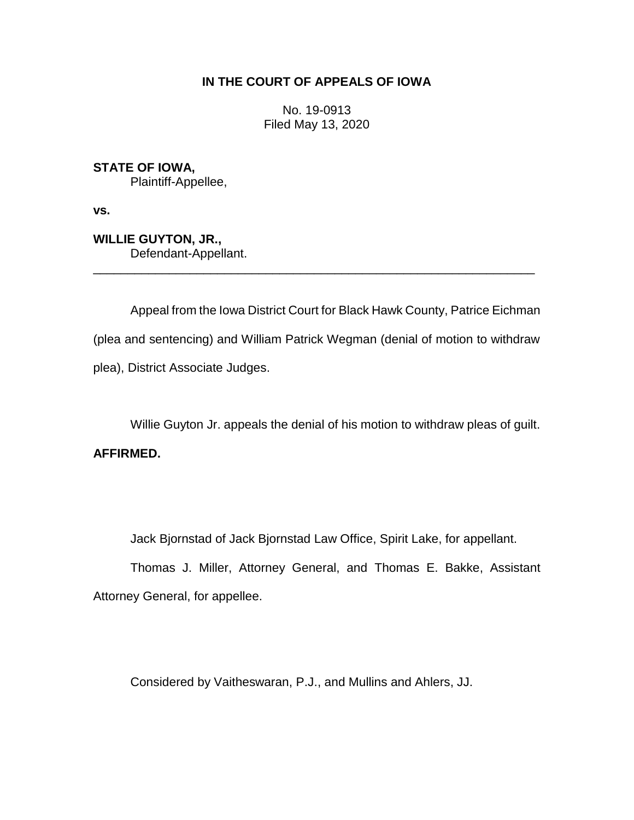## **IN THE COURT OF APPEALS OF IOWA**

No. 19-0913 Filed May 13, 2020

**STATE OF IOWA,**

Plaintiff-Appellee,

**vs.**

**WILLIE GUYTON, JR.,** Defendant-Appellant.

Appeal from the Iowa District Court for Black Hawk County, Patrice Eichman (plea and sentencing) and William Patrick Wegman (denial of motion to withdraw plea), District Associate Judges.

\_\_\_\_\_\_\_\_\_\_\_\_\_\_\_\_\_\_\_\_\_\_\_\_\_\_\_\_\_\_\_\_\_\_\_\_\_\_\_\_\_\_\_\_\_\_\_\_\_\_\_\_\_\_\_\_\_\_\_\_\_\_\_\_

Willie Guyton Jr. appeals the denial of his motion to withdraw pleas of guilt. **AFFIRMED.** 

Jack Bjornstad of Jack Bjornstad Law Office, Spirit Lake, for appellant.

Thomas J. Miller, Attorney General, and Thomas E. Bakke, Assistant Attorney General, for appellee.

Considered by Vaitheswaran, P.J., and Mullins and Ahlers, JJ.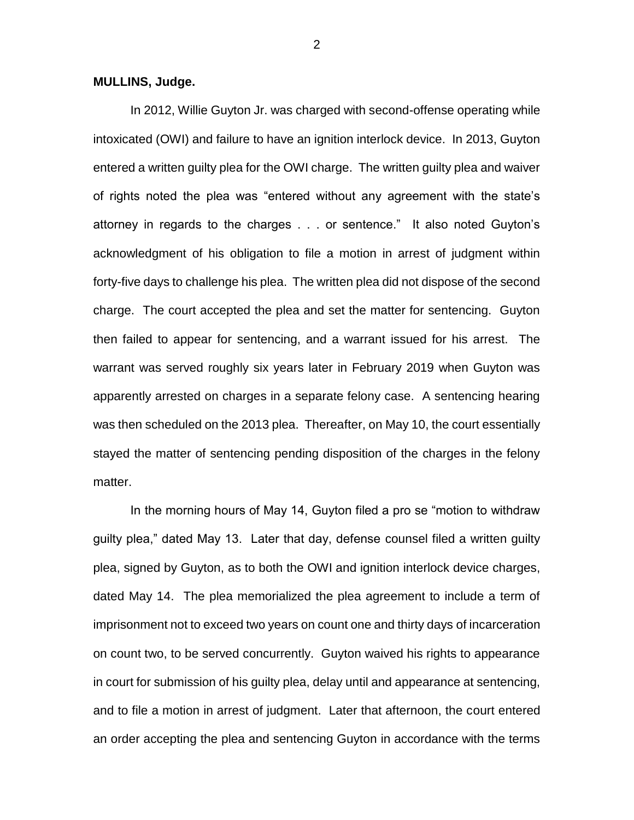## **MULLINS, Judge.**

In 2012, Willie Guyton Jr. was charged with second-offense operating while intoxicated (OWI) and failure to have an ignition interlock device. In 2013, Guyton entered a written guilty plea for the OWI charge. The written guilty plea and waiver of rights noted the plea was "entered without any agreement with the state's attorney in regards to the charges . . . or sentence." It also noted Guyton's acknowledgment of his obligation to file a motion in arrest of judgment within forty-five days to challenge his plea. The written plea did not dispose of the second charge. The court accepted the plea and set the matter for sentencing. Guyton then failed to appear for sentencing, and a warrant issued for his arrest. The warrant was served roughly six years later in February 2019 when Guyton was apparently arrested on charges in a separate felony case. A sentencing hearing was then scheduled on the 2013 plea. Thereafter, on May 10, the court essentially stayed the matter of sentencing pending disposition of the charges in the felony matter.

In the morning hours of May 14, Guyton filed a pro se "motion to withdraw guilty plea," dated May 13. Later that day, defense counsel filed a written guilty plea, signed by Guyton, as to both the OWI and ignition interlock device charges, dated May 14. The plea memorialized the plea agreement to include a term of imprisonment not to exceed two years on count one and thirty days of incarceration on count two, to be served concurrently. Guyton waived his rights to appearance in court for submission of his guilty plea, delay until and appearance at sentencing, and to file a motion in arrest of judgment. Later that afternoon, the court entered an order accepting the plea and sentencing Guyton in accordance with the terms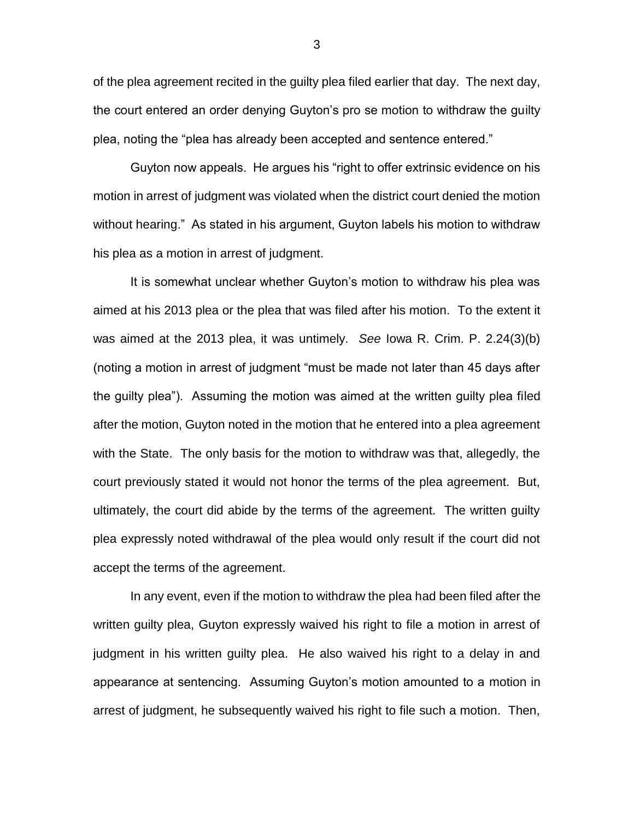of the plea agreement recited in the guilty plea filed earlier that day. The next day, the court entered an order denying Guyton's pro se motion to withdraw the guilty plea, noting the "plea has already been accepted and sentence entered."

Guyton now appeals. He argues his "right to offer extrinsic evidence on his motion in arrest of judgment was violated when the district court denied the motion without hearing." As stated in his argument, Guyton labels his motion to withdraw his plea as a motion in arrest of judgment.

It is somewhat unclear whether Guyton's motion to withdraw his plea was aimed at his 2013 plea or the plea that was filed after his motion. To the extent it was aimed at the 2013 plea, it was untimely. *See* Iowa R. Crim. P. 2.24(3)(b) (noting a motion in arrest of judgment "must be made not later than 45 days after the guilty plea"). Assuming the motion was aimed at the written guilty plea filed after the motion, Guyton noted in the motion that he entered into a plea agreement with the State. The only basis for the motion to withdraw was that, allegedly, the court previously stated it would not honor the terms of the plea agreement. But, ultimately, the court did abide by the terms of the agreement. The written guilty plea expressly noted withdrawal of the plea would only result if the court did not accept the terms of the agreement.

In any event, even if the motion to withdraw the plea had been filed after the written guilty plea, Guyton expressly waived his right to file a motion in arrest of judgment in his written guilty plea. He also waived his right to a delay in and appearance at sentencing. Assuming Guyton's motion amounted to a motion in arrest of judgment, he subsequently waived his right to file such a motion. Then,

3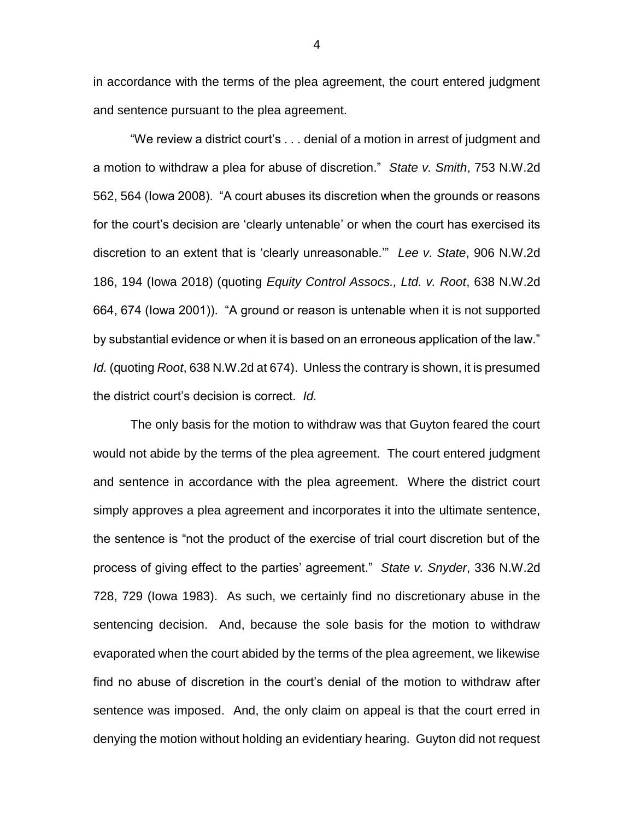in accordance with the terms of the plea agreement, the court entered judgment and sentence pursuant to the plea agreement.

"We review a district court's . . . denial of a motion in arrest of judgment and a motion to withdraw a plea for abuse of discretion." *State v. Smith*, 753 N.W.2d 562, 564 (Iowa 2008). "A court abuses its discretion when the grounds or reasons for the court's decision are 'clearly untenable' or when the court has exercised its discretion to an extent that is 'clearly unreasonable.'" *Lee v. State*, 906 N.W.2d 186, 194 (Iowa 2018) (quoting *Equity Control Assocs., Ltd. v. Root*, 638 N.W.2d 664, 674 (Iowa 2001)). "A ground or reason is untenable when it is not supported by substantial evidence or when it is based on an erroneous application of the law." *Id.* (quoting *Root*, 638 N.W.2d at 674). Unless the contrary is shown, it is presumed the district court's decision is correct. *Id.*

The only basis for the motion to withdraw was that Guyton feared the court would not abide by the terms of the plea agreement. The court entered judgment and sentence in accordance with the plea agreement. Where the district court simply approves a plea agreement and incorporates it into the ultimate sentence, the sentence is "not the product of the exercise of trial court discretion but of the process of giving effect to the parties' agreement." *State v. Snyder*, 336 N.W.2d 728, 729 (Iowa 1983). As such, we certainly find no discretionary abuse in the sentencing decision. And, because the sole basis for the motion to withdraw evaporated when the court abided by the terms of the plea agreement, we likewise find no abuse of discretion in the court's denial of the motion to withdraw after sentence was imposed. And, the only claim on appeal is that the court erred in denying the motion without holding an evidentiary hearing. Guyton did not request

4